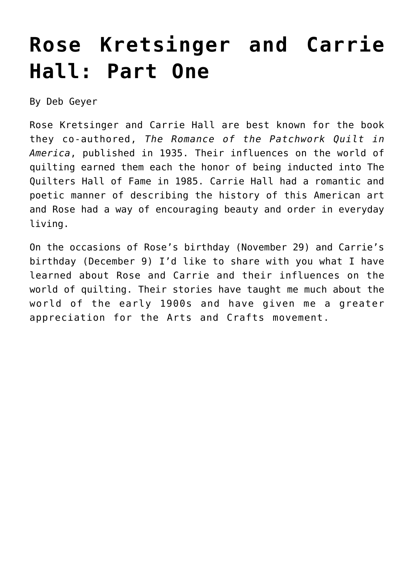## **[Rose Kretsinger and Carrie](https://quiltershalloffame.net/rose-kretsinger-and-carrie-hall-part-one/) [Hall: Part One](https://quiltershalloffame.net/rose-kretsinger-and-carrie-hall-part-one/)**

By Deb Geyer

Rose Kretsinger and Carrie Hall are best known for the book they co-authored, *The Romance of the Patchwork Quilt in America*, published in 1935. Their influences on the world of quilting earned them each the honor of being inducted into The Quilters Hall of Fame in 1985. Carrie Hall had a romantic and poetic manner of describing the history of this American art and Rose had a way of encouraging beauty and order in everyday living.

On the occasions of Rose's birthday (November 29) and Carrie's birthday (December 9) I'd like to share with you what I have learned about Rose and Carrie and their influences on the world of quilting. Their stories have taught me much about the world of the early 1900s and have given me a greater appreciation for the Arts and Crafts movement.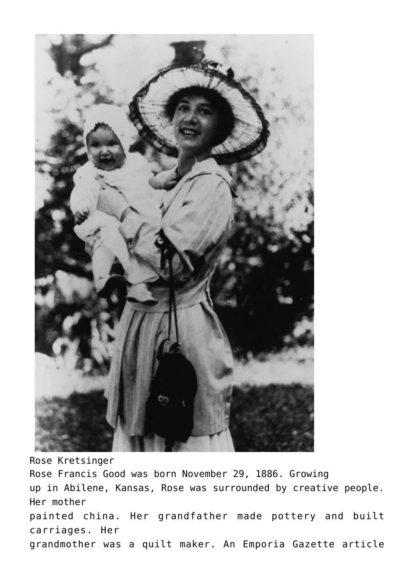

Rose Kretsinger Rose Francis Good was born November 29, 1886. Growing up in Abilene, Kansas, Rose was surrounded by creative people. Her mother painted china. Her grandfather made pottery and built carriages. Her grandmother was a quilt maker. An Emporia Gazette article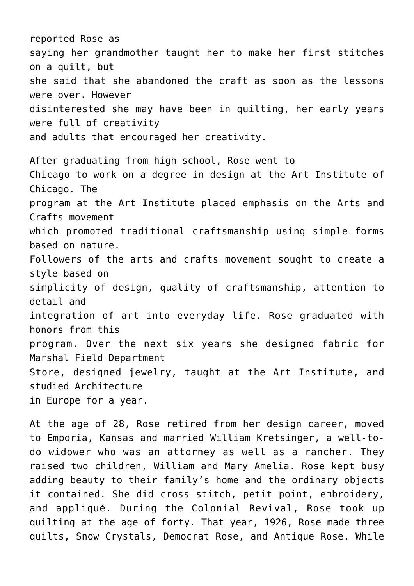reported Rose as saying her grandmother taught her to make her first stitches on a quilt, but she said that she abandoned the craft as soon as the lessons were over. However disinterested she may have been in quilting, her early years were full of creativity and adults that encouraged her creativity. After graduating from high school, Rose went to Chicago to work on a degree in design at the Art Institute of Chicago. The program at the Art Institute placed emphasis on the Arts and Crafts movement which promoted traditional craftsmanship using simple forms based on nature. Followers of the arts and crafts movement sought to create a style based on simplicity of design, quality of craftsmanship, attention to detail and integration of art into everyday life. Rose graduated with honors from this program. Over the next six years she designed fabric for Marshal Field Department Store, designed jewelry, taught at the Art Institute, and studied Architecture in Europe for a year.

At the age of 28, Rose retired from her design career, moved to Emporia, Kansas and married William Kretsinger, a well-todo widower who was an attorney as well as a rancher. They raised two children, William and Mary Amelia. Rose kept busy adding beauty to their family's home and the ordinary objects it contained. She did cross stitch, petit point, embroidery, and appliqué. During the Colonial Revival, Rose took up quilting at the age of forty. That year, 1926, Rose made three quilts, Snow Crystals, Democrat Rose, and Antique Rose. While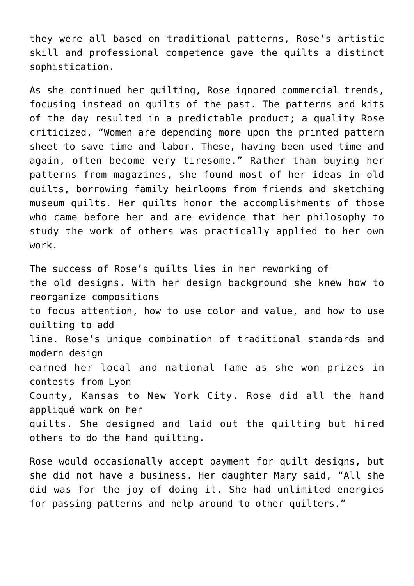they were all based on traditional patterns, Rose's artistic skill and professional competence gave the quilts a distinct sophistication.

As she continued her quilting, Rose ignored commercial trends, focusing instead on quilts of the past. The patterns and kits of the day resulted in a predictable product; a quality Rose criticized. "Women are depending more upon the printed pattern sheet to save time and labor. These, having been used time and again, often become very tiresome." Rather than buying her patterns from magazines, she found most of her ideas in old quilts, borrowing family heirlooms from friends and sketching museum quilts. Her quilts honor the accomplishments of those who came before her and are evidence that her philosophy to study the work of others was practically applied to her own work.

The success of Rose's quilts lies in her reworking of the old designs. With her design background she knew how to reorganize compositions to focus attention, how to use color and value, and how to use quilting to add line. Rose's unique combination of traditional standards and modern design earned her local and national fame as she won prizes in contests from Lyon County, Kansas to New York City. Rose did all the hand appliqué work on her quilts. She designed and laid out the quilting but hired others to do the hand quilting.

Rose would occasionally accept payment for quilt designs, but she did not have a business. Her daughter Mary said, "All she did was for the joy of doing it. She had unlimited energies for passing patterns and help around to other quilters."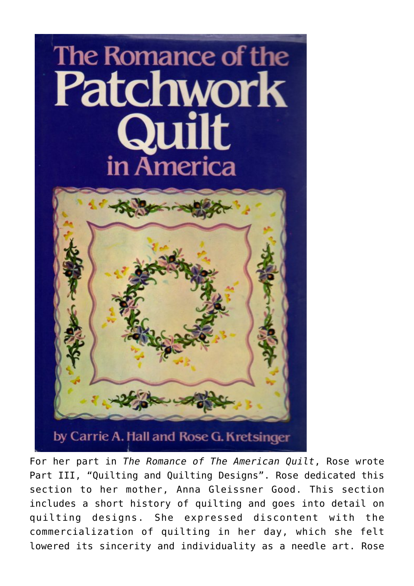## The Romance of the **Patchwork Duilt** in America



For her part in *The Romance of The American Quilt*, Rose wrote Part III, "Quilting and Quilting Designs". Rose dedicated this section to her mother, Anna Gleissner Good. This section includes a short history of quilting and goes into detail on quilting designs. She expressed discontent with the commercialization of quilting in her day, which she felt lowered its sincerity and individuality as a needle art. Rose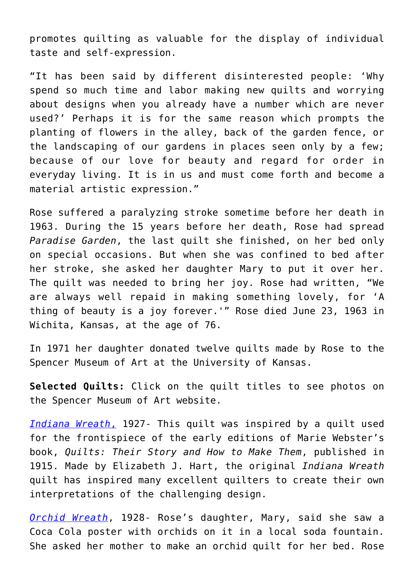promotes quilting as valuable for the display of individual taste and self-expression.

"It has been said by different disinterested people: 'Why spend so much time and labor making new quilts and worrying about designs when you already have a number which are never used?' Perhaps it is for the same reason which prompts the planting of flowers in the alley, back of the garden fence, or the landscaping of our gardens in places seen only by a few; because of our love for beauty and regard for order in everyday living. It is in us and must come forth and become a material artistic expression."

Rose suffered a paralyzing stroke sometime before her death in 1963. During the 15 years before her death, Rose had spread *Paradise Garden*, the last quilt she finished, on her bed only on special occasions. But when she was confined to bed after her stroke, she asked her daughter Mary to put it over her. The quilt was needed to bring her joy. Rose had written, "We are always well repaid in making something lovely, for 'A thing of beauty is a joy forever.'" Rose died June 23, 1963 in Wichita, Kansas, at the age of 76.

In 1971 her daughter donated twelve quilts made by Rose to the Spencer Museum of Art at the University of Kansas.

**Selected Quilts:** Click on the quilt titles to see photos on the Spencer Museum of Art website.

*[Indiana Wreath](https://spencerartapps.ku.edu/collection-search#/Object/11177)*[,](https://spencerartapps.ku.edu/collection-search#/Object/11177) 1927- This quilt was inspired by a quilt used for the frontispiece of the early editions of Marie Webster's book, *Quilts: Their Story and How to Make Them*, published in 1915. Made by Elizabeth J. Hart, the original *Indiana Wreath* quilt has inspired many excellent quilters to create their own interpretations of the challenging design.

*[Orchid Wreath](https://spencerartapps.ku.edu/collection-search#/Object/15209)*, 1928- Rose's daughter, Mary, said she saw a Coca Cola poster with orchids on it in a local soda fountain. She asked her mother to make an orchid quilt for her bed. Rose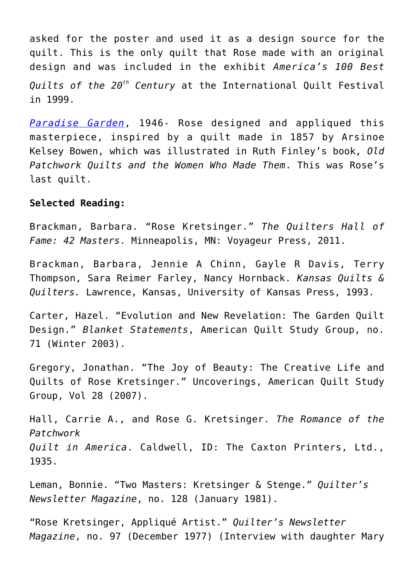asked for the poster and used it as a design source for the quilt. This is the only quilt that Rose made with an original design and was included in the exhibit *America's 100 Best Quilts of the 20th Century* at the International Quilt Festival in 1999.

*[Paradise Garden](https://spencerartapps.ku.edu/collection-search#/Object/11182)*, 1946- Rose designed and appliqued this masterpiece, inspired by a quilt made in 1857 by Arsinoe Kelsey Bowen, which was illustrated in Ruth Finley's book, *Old Patchwork Quilts and the Women Who Made Them*. This was Rose's last quilt.

## **Selected Reading:**

Brackman, Barbara. "Rose Kretsinger." *The Quilters Hall of Fame: 42 Masters*. Minneapolis, MN: Voyageur Press, 2011.

Brackman, Barbara, Jennie A Chinn, Gayle R Davis, Terry Thompson, Sara Reimer Farley, Nancy Hornback. *Kansas Quilts & Quilters.* Lawrence, Kansas, University of Kansas Press, 1993.

Carter, Hazel. "Evolution and New Revelation: The Garden Quilt Design." *Blanket Statements*, American Quilt Study Group, no. 71 (Winter 2003).

Gregory, Jonathan. "The Joy of Beauty: The Creative Life and Quilts of Rose Kretsinger." Uncoverings, American Quilt Study Group, Vol 28 (2007).

Hall, Carrie A., and Rose G. Kretsinger. *The Romance of the Patchwork Quilt in America*. Caldwell, ID: The Caxton Printers, Ltd., 1935.

Leman, Bonnie. "Two Masters: Kretsinger & Stenge." *Quilter's Newsletter Magazine*, no. 128 (January 1981).

"Rose Kretsinger, Appliqué Artist." *Quilter's Newsletter Magazine*, no. 97 (December 1977) (Interview with daughter Mary